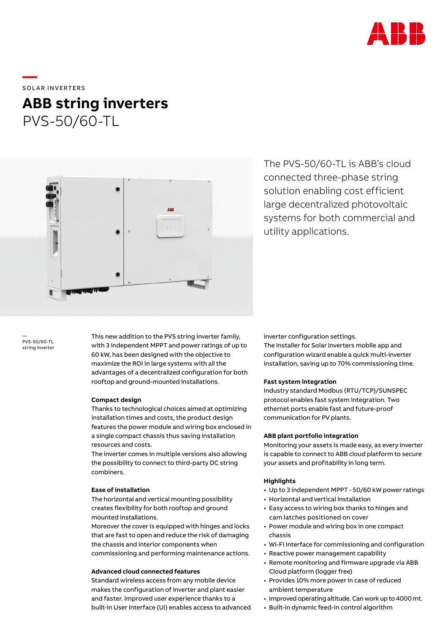

**—**  SOLAR INVERTERS

# **ABB string inverters** PVS-50/60-TL



The PVS-50/60-TL is ABB's cloud connected three-phase string solution enabling cost efficient large decentralized photovoltaic systems for both commercial and utility applications.

— PVS-50/60-TL string inverter

This new addition to the PVS string inverter family, with 3 independent MPPT and power ratings of up to 60 kW, has been designed with the objective to maximize the ROI in large systems with all the advantages of a decentralized configuration for both rooftop and ground-mounted installations.

# **Compact design**

Thanks to technological choices aimed at optimizing installation times and costs, the product design features the power module and wiring box enclosed in a single compact chassis thus saving installation resources and costs.

The inverter comes in multiple versions also allowing the possibility to connect to third-party DC string combiners.

## **Ease of installation**

The horizontal and vertical mounting possibility creates flexibility for both rooftop and ground mounted installations.

Moreover the cover is equipped with hinges and locks that are fast to open and reduce the risk of damaging the chassis and interior components when commissioning and performing maintenance actions.

## **Advanced cloud connected features**

Standard wireless access from any mobile device makes the configuration of inverter and plant easier and faster. Improved user experience thanks to a built-in User Interface (UI) enables access to advanced inverter configuration settings. The Installer for Solar Inverters mobile app and configuration wizard enable a quick multi-inverter installation, saving up to 70% commissioning time.

## **Fast system integration**

Industry standard Modbus (RTU/TCP)/SUNSPEC protocol enables fast system integration. Two ethernet ports enable fast and future-proof communication for PV plants.

# **ABB plant portfolio integration**

Monitoring your assets is made easy, as every inverter is capable to connect to ABB cloud platform to secure your assets and profitability in long term.

# **Highlights**

- Up to 3 independent MPPT 50/60 kW power ratings
- Horizontal and vertical installation
- Easy access to wiring box thanks to hinges and cam latches positioned on cover
- Power module and wiring box in one compact chassis
- Wi-Fi interface for commissioning and configuration
- Reactive power management capability
- Remote monitoring and firmware upgrade via ABB Cloud platform (logger free)
- Provides 10% more power in case of reduced ambient temperature
- Improved operating altitude. Can work up to 4000 mt.
- Built-in dynamic feed-in control algorithm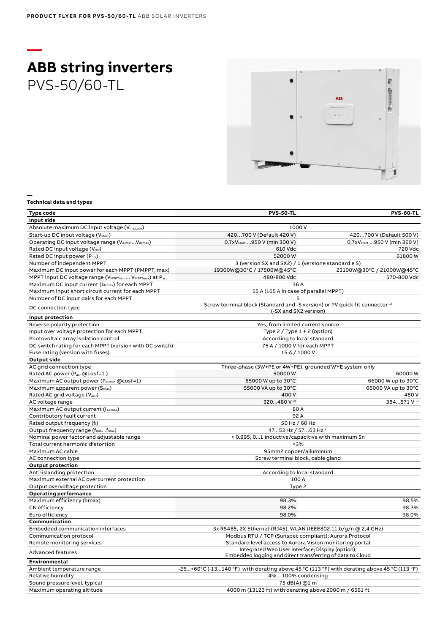# **— ABB string inverters** PVS-50/60-TL



### **— Technical data and types**

| Type code                                                                 | <b>PVS-50-TL</b>                                                                                                         | <b>PVS-60-TL</b>                         |
|---------------------------------------------------------------------------|--------------------------------------------------------------------------------------------------------------------------|------------------------------------------|
| Input side                                                                |                                                                                                                          |                                          |
| Absolute maximum DC input voltage (V <sub>max,abs</sub> )                 | 1000 V                                                                                                                   |                                          |
| Start-up DC input voltage (V <sub>start</sub> )                           | 420700 V (Default 420 V)                                                                                                 | 420700 V (Default 500 V)                 |
| Operating DC input voltage range (V <sub>dcmin</sub> V <sub>dcmax</sub> ) | 0,7xV <sub>start</sub> 950 V (min 300 V)                                                                                 | 0,7xV <sub>start</sub> 950 V (min 360 V) |
| Rated DC input voltage (Vdcr)                                             | 610 Vdc                                                                                                                  | 720 Vdc                                  |
| Rated DC input power (Pdcr)                                               | 52000W                                                                                                                   | 61800W                                   |
| Number of independent MPPT                                                | 3 (version SX and SX2) / 1 (versione standard e S)                                                                       |                                          |
| Maximum DC input power for each MPPT (PMPPT, max)                         | 19300W@30°C / 17500W@45°C                                                                                                | 23100W@30°C / 21000W@45°C                |
| MPPT input DC voltage range (VMPPTmin  VMPPTmax) at Pacr                  | 480-800 Vdc                                                                                                              | 570-800 Vdc                              |
| Maximum DC input current (Idcmax) for each MPPT                           | 36 A                                                                                                                     |                                          |
| Maximum input short circuit current for each MPPT                         | 55 A (165 A in case of parallel MPPT)                                                                                    |                                          |
| Number of DC input pairs for each MPPT                                    | 5                                                                                                                        |                                          |
|                                                                           | Screw terminal block (Standard and -S version) or PV quick fit connector <sup>1)</sup>                                   |                                          |
| DC connection type                                                        | (-SX and SX2 version)                                                                                                    |                                          |
| Input protection                                                          |                                                                                                                          |                                          |
| Reverse polarity protection                                               | Yes, from limited current source                                                                                         |                                          |
| Input over voltage protection for each MPPT                               | Type $2 /$ Type $1 + 2$ (option)                                                                                         |                                          |
| Photovoltaic array isolation control                                      | According to local standard                                                                                              |                                          |
| DC switch rating for each MPPT (version with DC switch)                   | 75 A / 1000 V for each MPPT                                                                                              |                                          |
| Fuse rating (version with fuses)                                          | 15 A / 1000 V                                                                                                            |                                          |
| <b>Output side</b>                                                        |                                                                                                                          |                                          |
| AC grid connection type                                                   | Three-phase (3W+PE or 4W+PE), grounded WYE system only                                                                   |                                          |
| Rated AC power (Pacr @cosf=1)                                             | 50000W                                                                                                                   | 60000W                                   |
| Maximum AC output power (P <sub>acmax</sub> @cosf=1)                      | 55000 W up to 30°C                                                                                                       | 66000 W up to 30°C                       |
| Maximum apparent power (S <sub>max</sub> )                                | 55000 VA up to 30°C                                                                                                      | 66000 VA up to 30°C                      |
| Rated AC grid voltage (Vac,r)                                             | 400 V                                                                                                                    | 480V                                     |
| AC voltage range                                                          | 320480 V <sup>2)</sup>                                                                                                   | 384571 V <sup>2)</sup>                   |
| Maximum AC output current (lac, max)                                      | 80A                                                                                                                      |                                          |
| Contributory fault current                                                | 92 A                                                                                                                     |                                          |
| Rated output frequency (fr)                                               | 50 Hz / 60 Hz                                                                                                            |                                          |
| Output frequency range (f <sub>min</sub> f <sub>max</sub> )               | 4753 Hz / 5763 Hz 3)                                                                                                     |                                          |
| Nominal power factor and adjustable range                                 | > 0.995; 01 inductive/capacitive with maximum Sn                                                                         |                                          |
| Total current harmonic distortion                                         | $3%$                                                                                                                     |                                          |
| Maximum AC cable                                                          | 95mm2 copper/alluminum                                                                                                   |                                          |
| AC connection type                                                        | Screw terminal block, cable gland                                                                                        |                                          |
| <b>Output protection</b>                                                  |                                                                                                                          |                                          |
| Anti-islanding protection                                                 | According to local standard                                                                                              |                                          |
| Maximum external AC overcurrent protection                                | 100 A                                                                                                                    |                                          |
| Output overvoltage protection                                             | Type 2                                                                                                                   |                                          |
| <b>Operating performance</b>                                              |                                                                                                                          |                                          |
| Maximum efficiency (hmax)                                                 | 98.3%                                                                                                                    | 98.5%                                    |
| CN efficiency                                                             | 98.2%                                                                                                                    | 98.3%                                    |
| Euro efficiency                                                           | 98.0%                                                                                                                    | 98.0%                                    |
| Communication                                                             |                                                                                                                          |                                          |
| Embedded communication interfaces                                         |                                                                                                                          |                                          |
| Communication protocol                                                    | 3x RS485, 2X Ethernet (RJ45), WLAN (IEEE802.11 b/g/n @ 2,4 GHz)<br>Modbus RTU / TCP (Sunspec compliant); Aurora Protocol |                                          |
| Remote monitoring services                                                | Standard level access to Aurora Vision monitoring portal                                                                 |                                          |
|                                                                           | Integrated Web User Interface; Display (option);                                                                         |                                          |
| <b>Advanced features</b>                                                  | Embedded logging and direct transferring of data to Cloud                                                                |                                          |
| Environmental                                                             |                                                                                                                          |                                          |
| Ambient temperature range                                                 | -25+60°C (-13140 °F) with derating above 45 °C (113 °F) with derating above 45 °C (113 °F)                               |                                          |
| Relative humidity                                                         | 4% 100% condensing                                                                                                       |                                          |
| Sound pressure level, typical                                             | 75 dB(A) @1 m                                                                                                            |                                          |
| Maximum operating altitude                                                | 4000 m (13123 ft) with derating above 2000 m / 6561 ft                                                                   |                                          |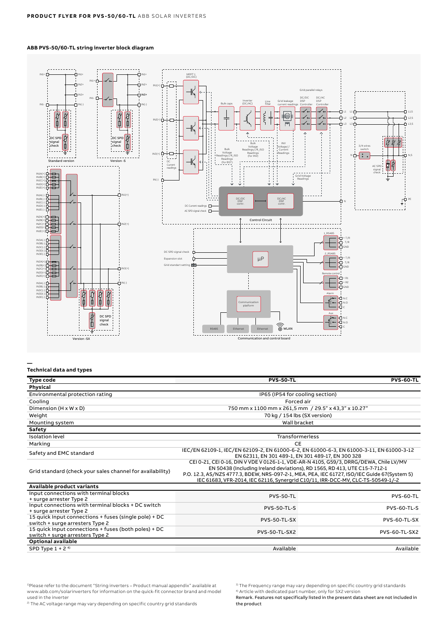# **ABB PVS-50/60-TL string inverter block diagram**



### **— Technical data and types**

| <b>Type code</b>                                                                         | <b>PVS-50-TL</b>                                                                                                                                                                                                                                                                                                                                       | <b>PVS-60-TL</b>     |  |
|------------------------------------------------------------------------------------------|--------------------------------------------------------------------------------------------------------------------------------------------------------------------------------------------------------------------------------------------------------------------------------------------------------------------------------------------------------|----------------------|--|
| Physical                                                                                 |                                                                                                                                                                                                                                                                                                                                                        |                      |  |
| Environmental protection rating                                                          | IP65 (IP54 for cooling section)                                                                                                                                                                                                                                                                                                                        |                      |  |
| Cooling                                                                                  | Forced air                                                                                                                                                                                                                                                                                                                                             |                      |  |
| Dimension (H x W x D)                                                                    | 750 mm x 1100 mm x 261,5 mm / 29.5" x 43,3" x 10.27"                                                                                                                                                                                                                                                                                                   |                      |  |
| Weight                                                                                   | 70 kg / 154 lbs (SX version)                                                                                                                                                                                                                                                                                                                           |                      |  |
| Mounting system                                                                          | Wall bracket                                                                                                                                                                                                                                                                                                                                           |                      |  |
| Safety                                                                                   |                                                                                                                                                                                                                                                                                                                                                        |                      |  |
| <b>Isolation level</b>                                                                   | <b>Transformerless</b>                                                                                                                                                                                                                                                                                                                                 |                      |  |
| Marking                                                                                  | CE                                                                                                                                                                                                                                                                                                                                                     |                      |  |
| Safety and EMC standard                                                                  | IEC/EN 62109-1, IEC/EN 62109-2, EN 61000-6-2, EN 61000-6-3, EN 61000-3-11, EN 61000-3-12<br>EN 62311, EN 301 489-1, EN 301 489-17, EN 300 328                                                                                                                                                                                                          |                      |  |
| Grid standard (check your sales channel for availability)                                | CEI 0-21, CEI 0-16, DIN V VDE V 0126-1-1, VDE-AR-N 4105, G59/3, DRRG/DEWA, Chile LV/MV<br>EN 50438 (Including Ireland deviations), RD 1565, RD 413, UTE C15-7-712-1<br>P.O. 12.3, AS/NZS 4777.3, BDEW, NRS-097-2-1, MEA, PEA, IEC 61727, ISO/IEC Guide 67(System 5)<br>IEC 61683, VFR-2014, IEC 62116, Synergrid C10/11, IRR-DCC-MV, CLC-TS-50549-1/-2 |                      |  |
| Available product variants                                                               |                                                                                                                                                                                                                                                                                                                                                        |                      |  |
| Input connections with terminal blocks<br>+ surge arrester Type 2                        | <b>PVS-50-TL</b>                                                                                                                                                                                                                                                                                                                                       | <b>PVS-60-TL</b>     |  |
| Input connections with terminal blocks + DC switch<br>+ surge arrester Type 2            | <b>PVS-50-TL-S</b>                                                                                                                                                                                                                                                                                                                                     | <b>PVS-60-TL-S</b>   |  |
| 15 quick Input connections + fuses (single pole) + DC<br>switch + surge arresters Type 2 | PVS-50-TL-SX                                                                                                                                                                                                                                                                                                                                           | PVS-60-TL-SX         |  |
| 15 quick Input connections + fuses (both poles) + DC<br>switch + surge arresters Type 2  | <b>PVS-50-TL-SX2</b>                                                                                                                                                                                                                                                                                                                                   | <b>PVS-60-TL-SX2</b> |  |
| Optional available                                                                       |                                                                                                                                                                                                                                                                                                                                                        |                      |  |
| SPD Type $1 + 24$                                                                        | Available                                                                                                                                                                                                                                                                                                                                              | Available            |  |

<sup>1)</sup>Please refer to the document "String inverters - Product manual appendix" available at www.abb.com/solarinverters for information on the quick-fit connector brand and model used in the inverter<br><sup>2)</sup> The AC voltage range may vary depending on specific country grid standards

<sup>3)</sup> The Frequency range may vary depending on specific country grid standards 4) Article with dedicated part number, only for SX2 version

Remark. Features not specifically listed in the present data sheet are not included in the product